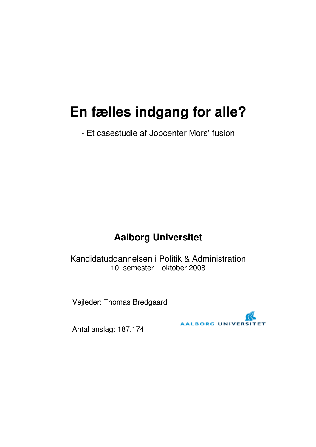## **En fælles indgang for alle?**

- Et casestudie af Jobcenter Mors' fusion

## **Aalborg Universitet**

Kandidatuddannelsen i Politik & Administration 10. semester – oktober 2008

Vejleder: Thomas Bredgaard



Antal anslag: 187.174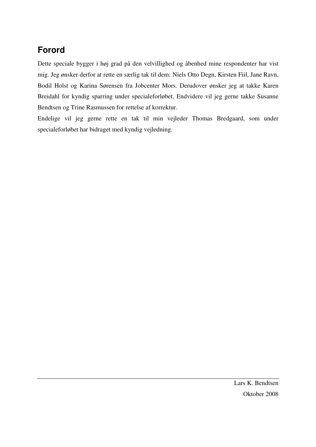## **Forord**

Dette speciale bygger i høj grad på den velvillighed og åbenhed mine respondenter har vist mig. Jeg ønsker derfor at rette en særlig tak til dem: Niels Otto Degn, Kirsten Fiil, Jane Ravn, Bodil Holst og Karina Sørensen fra Jobcenter Mors. Derudover ønsker jeg at takke Karen Breidahl for kyndig sparring under specialeforløbet. Endvidere vil jeg gerne takke Susanne Bendtsen og Trine Rasmussen for rettelse af korrektur.

Endelige vil jeg gerne rette en tak til min vejleder Thomas Bredgaard, som under specialeforløbet har bidraget med kyndig vejledning.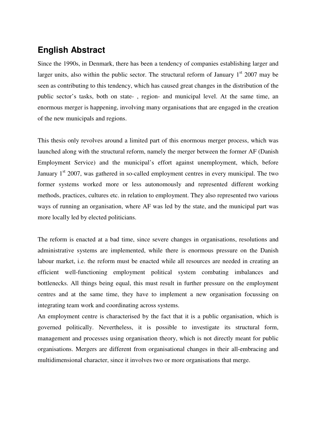## **English Abstract**

Since the 1990s, in Denmark, there has been a tendency of companies establishing larger and larger units, also within the public sector. The structural reform of January  $1<sup>st</sup>$  2007 may be seen as contributing to this tendency, which has caused great changes in the distribution of the public sector's tasks, both on state- , region- and municipal level. At the same time, an enormous merger is happening, involving many organisations that are engaged in the creation of the new municipals and regions.

This thesis only revolves around a limited part of this enormous merger process, which was launched along with the structural reform, namely the merger between the former AF (Danish Employment Service) and the municipal's effort against unemployment, which, before January  $1<sup>st</sup>$  2007, was gathered in so-called employment centres in every municipal. The two former systems worked more or less autonomously and represented different working methods, practices, cultures etc. in relation to employment. They also represented two various ways of running an organisation, where AF was led by the state, and the municipal part was more locally led by elected politicians.

The reform is enacted at a bad time, since severe changes in organisations, resolutions and administrative systems are implemented, while there is enormous pressure on the Danish labour market, i.e. the reform must be enacted while all resources are needed in creating an efficient well-functioning employment political system combating imbalances and bottlenecks. All things being equal, this must result in further pressure on the employment centres and at the same time, they have to implement a new organisation focussing on integrating team work and coordinating across systems.

An employment centre is characterised by the fact that it is a public organisation, which is governed politically. Nevertheless, it is possible to investigate its structural form, management and processes using organisation theory, which is not directly meant for public organisations. Mergers are different from organisational changes in their all-embracing and multidimensional character, since it involves two or more organisations that merge.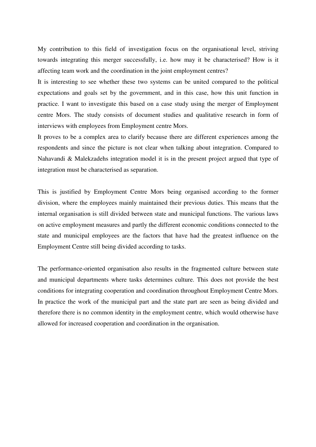My contribution to this field of investigation focus on the organisational level, striving towards integrating this merger successfully, i.e. how may it be characterised? How is it affecting team work and the coordination in the joint employment centres?

It is interesting to see whether these two systems can be united compared to the political expectations and goals set by the government, and in this case, how this unit function in practice. I want to investigate this based on a case study using the merger of Employment centre Mors. The study consists of document studies and qualitative research in form of interviews with employees from Employment centre Mors.

It proves to be a complex area to clarify because there are different experiences among the respondents and since the picture is not clear when talking about integration. Compared to Nahavandi & Malekzadehs integration model it is in the present project argued that type of integration must be characterised as separation.

This is justified by Employment Centre Mors being organised according to the former division, where the employees mainly maintained their previous duties. This means that the internal organisation is still divided between state and municipal functions. The various laws on active employment measures and partly the different economic conditions connected to the state and municipal employees are the factors that have had the greatest influence on the Employment Centre still being divided according to tasks.

The performance-oriented organisation also results in the fragmented culture between state and municipal departments where tasks determines culture. This does not provide the best conditions for integrating cooperation and coordination throughout Employment Centre Mors. In practice the work of the municipal part and the state part are seen as being divided and therefore there is no common identity in the employment centre, which would otherwise have allowed for increased cooperation and coordination in the organisation.